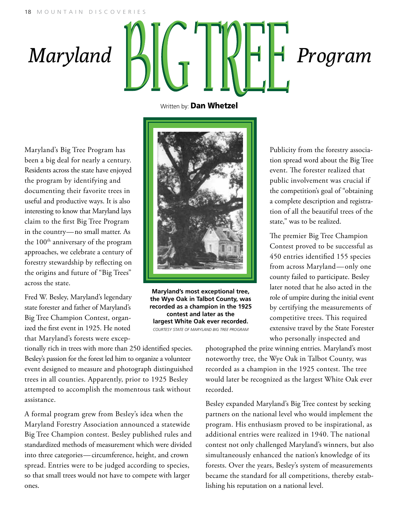## $\frac{1}{2}$   $\frac{1}{2}$   $\frac{1}{2}$   $\frac{1}{2}$   $\frac{1}{2}$   $\frac{1}{2}$   $\frac{1}{2}$   $\frac{1}{2}$ Maryland  $\|\mathcal{L}\|$   $\|\mathcal{L}\|$   $\|\mathcal{L}\|$  Program

Maryland's Big Tree Program has been a big deal for nearly a century. Residents across the state have enjoyed the program by identifying and documenting their favorite trees in useful and productive ways. It is also interesting to know that Maryland lays claim to the first Big Tree Program in the country—no small matter. As the 100<sup>th</sup> anniversary of the program approaches, we celebrate a century of forestry stewardship by reflecting on the origins and future of "Big Trees" across the state.

Fred W. Besley, Maryland's legendary state forester and father of Maryland's Big Tree Champion Contest, organized the first event in 1925. He noted that Maryland's forests were excepWritten by: **Dan Whetzel** 



**Maryland's most exceptional tree, the Wye Oak in Talbot County, was recorded as a champion in the 1925 contest and later as the largest White Oak ever recorded.** *courtesy State of maryland big tree program*

Publicity from the forestry association spread word about the Big Tree event. The forester realized that public involvement was crucial if the competition's goal of "obtaining a complete description and registration of all the beautiful trees of the state," was to be realized.

The premier Big Tree Champion Contest proved to be successful as 450 entries identified 155 species from across Maryland—only one county failed to participate. Besley later noted that he also acted in the role of umpire during the initial event by certifying the measurements of competitive trees. This required extensive travel by the State Forester who personally inspected and

tionally rich in trees with more than 250 identified species. Besley's passion for the forest led him to organize a volunteer event designed to measure and photograph distinguished trees in all counties. Apparently, prior to 1925 Besley attempted to accomplish the momentous task without assistance.

A formal program grew from Besley's idea when the Maryland Forestry Association announced a statewide Big Tree Champion contest. Besley published rules and standardized methods of measurement which were divided into three categories—circumference, height, and crown spread. Entries were to be judged according to species, so that small trees would not have to compete with larger ones.

photographed the prize winning entries. Maryland's most noteworthy tree, the Wye Oak in Talbot County, was recorded as a champion in the 1925 contest. The tree would later be recognized as the largest White Oak ever recorded.

Besley expanded Maryland's Big Tree contest by seeking partners on the national level who would implement the program. His enthusiasm proved to be inspirational, as additional entries were realized in 1940. The national contest not only challenged Maryland's winners, but also simultaneously enhanced the nation's knowledge of its forests. Over the years, Besley's system of measurements became the standard for all competitions, thereby establishing his reputation on a national level.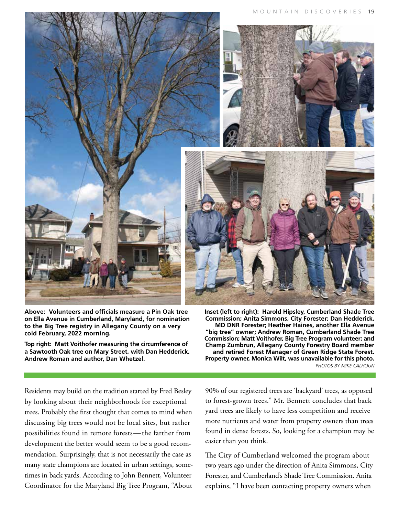

**Above: Volunteers and officials measure a Pin Oak tree on Ella Avenue in Cumberland, Maryland, for nomination to the Big Tree registry in Allegany County on a very cold February, 2022 morning.** 

**Top right: Matt Voithofer measuring the circumference of a Sawtooth Oak tree on Mary Street, with Dan Hedderick, Andrew Roman and author, Dan Whetzel.**

**Inset (left to right): Harold Hipsley, Cumberland Shade Tree Commission; Anita Simmons, City Forester; Dan Hedderick, MD DNR Forester; Heather Haines, another Ella Avenue "big tree" owner; Andrew Roman, Cumberland Shade Tree Commission; Matt Voithofer, Big Tree Program volunteer; and Champ Zumbrun, Allegany County Forestry Board member and retired Forest Manager of Green Ridge State Forest. Property owner, Monica Wilt, was unavailable for this photo.**  *PHOTOS BY MIKE CALHOUN*

Residents may build on the tradition started by Fred Besley by looking about their neighborhoods for exceptional trees. Probably the first thought that comes to mind when discussing big trees would not be local sites, but rather possibilities found in remote forests— the farther from development the better would seem to be a good recommendation. Surprisingly, that is not necessarily the case as many state champions are located in urban settings, sometimes in back yards. According to John Bennett, Volunteer Coordinator for the Maryland Big Tree Program, "About

90% of our registered trees are 'backyard' trees, as opposed to forest-grown trees." Mr. Bennett concludes that back yard trees are likely to have less competition and receive more nutrients and water from property owners than trees found in dense forests. So, looking for a champion may be easier than you think.

The City of Cumberland welcomed the program about two years ago under the direction of Anita Simmons, City Forester, and Cumberland's Shade Tree Commission. Anita explains, "I have been contacting property owners when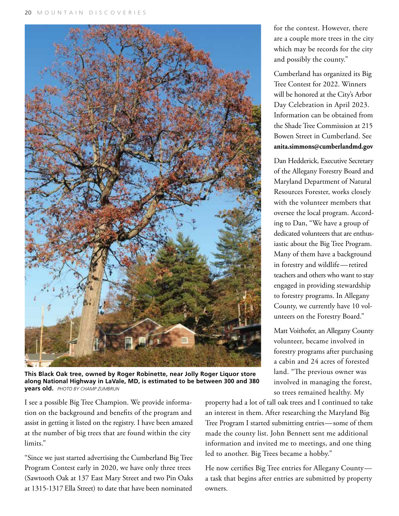

**This Black Oak tree, owned by Roger Robinette, near Jolly Roger Liquor store along National Highway in LaVale, MD, is estimated to be between 300 and 380 years old.** *PHOTO by champ zumbrun*

for the contest. However, there are a couple more trees in the city which may be records for the city and possibly the county."

Cumberland has organized its Big Tree Contest for 2022. Winners will be honored at the City's Arbor Day Celebration in April 2023. Information can be obtained from the Shade Tree Commission at 215 Bowen Street in Cumberland. See **anita.simmons@cumberlandmd.gov**

Dan Hedderick, Executive Secretary of the Allegany Forestry Board and Maryland Department of Natural Resources Forester, works closely with the volunteer members that oversee the local program. According to Dan, "We have a group of dedicated volunteers that are enthusiastic about the Big Tree Program. Many of them have a background in forestry and wildlife—retired teachers and others who want to stay engaged in providing stewardship to forestry programs. In Allegany County, we currently have 10 volunteers on the Forestry Board."

Matt Voithofer, an Allegany County volunteer, became involved in forestry programs after purchasing a cabin and 24 acres of forested land. "The previous owner was involved in managing the forest, so trees remained healthy. My

I see a possible Big Tree Champion. We provide information on the background and benefits of the program and assist in getting it listed on the registry. I have been amazed at the number of big trees that are found within the city limits."

"Since we just started advertising the Cumberland Big Tree Program Contest early in 2020, we have only three trees (Sawtooth Oak at 137 East Mary Street and two Pin Oaks at 1315-1317 Ella Street) to date that have been nominated

property had a lot of tall oak trees and I continued to take an interest in them. After researching the Maryland Big Tree Program I started submitting entries—some of them made the county list. John Bennett sent me additional information and invited me to meetings, and one thing led to another. Big Trees became a hobby."

He now certifies Big Tree entries for Allegany County a task that begins after entries are submitted by property owners.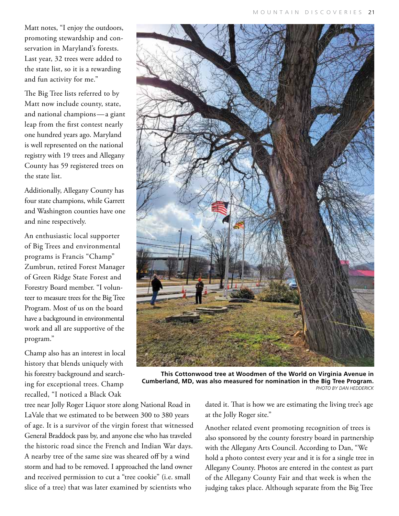Matt notes, "I enjoy the outdoors, promoting stewardship and conservation in Maryland's forests. Last year, 32 trees were added to the state list, so it is a rewarding and fun activity for me."

The Big Tree lists referred to by Matt now include county, state, and national champions — a giant leap from the first contest nearly one hundred years ago. Maryland is well represented on the national registry with 19 trees and Allegany County has 59 registered trees on the state list.

Additionally, Allegany County has four state champions, while Garrett and Washington counties have one and nine respectively.

An enthusiastic local supporter of Big Trees and environmental programs is Francis "Champ" Zumbrun, retired Forest Manager of Green Ridge State Forest and Forestry Board member. "I volunteer to measure trees for the Big Tree Program. Most of us on the board have a background in environmental work and all are supportive of the program."

Champ also has an interest in local history that blends uniquely with his forestry background and searching for exceptional trees. Champ recalled, "I noticed a Black Oak

**This Cottonwood tree at Woodmen of the World on Virginia Avenue in Cumberland, MD, was also measured for nomination in the Big Tree Program.** *PHOTO by dan hedderick*

tree near Jolly Roger Liquor store along National Road in LaVale that we estimated to be between 300 to 380 years of age. It is a survivor of the virgin forest that witnessed General Braddock pass by, and anyone else who has traveled the historic road since the French and Indian War days. A nearby tree of the same size was sheared off by a wind storm and had to be removed. I approached the land owner and received permission to cut a "tree cookie" (i.e. small slice of a tree) that was later examined by scientists who

dated it. That is how we are estimating the living tree's age at the Jolly Roger site."

Another related event promoting recognition of trees is also sponsored by the county forestry board in partnership with the Allegany Arts Council. According to Dan, "We hold a photo contest every year and it is for a single tree in Allegany County. Photos are entered in the contest as part of the Allegany County Fair and that week is when the judging takes place. Although separate from the Big Tree